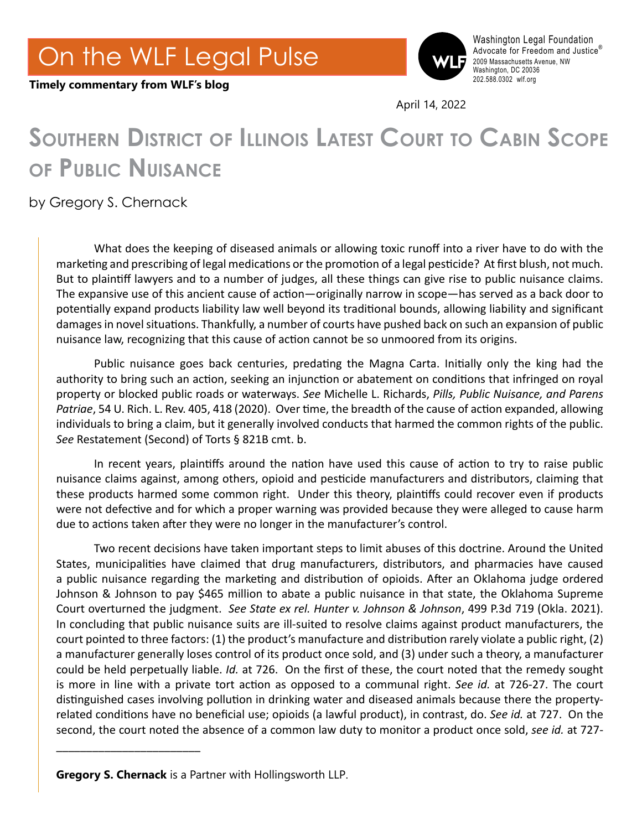

Washington Legal Foundation Advocate for Freedom and Justice® 2009 Massachusetts Avenue, NW Washington, DC 20036<br>202.588.0302 wlf.org

April 14, 2022

## **Southern District of Illinois Latest Court to Cabin Scope of Public Nuisance**

## by Gregory S. Chernack

**Timely commentary from WLF's blog** 

What does the keeping of diseased animals or allowing toxic runoff into a river have to do with the marketing and prescribing of legal medications or the promotion of a legal pesticide? At first blush, not much. But to plaintiff lawyers and to a number of judges, all these things can give rise to public nuisance claims. The expansive use of this ancient cause of action—originally narrow in scope—has served as a back door to potentially expand products liability law well beyond its traditional bounds, allowing liability and significant damages in novel situations. Thankfully, a number of courts have pushed back on such an expansion of public nuisance law, recognizing that this cause of action cannot be so unmoored from its origins.

Public nuisance goes back centuries, predating the Magna Carta. Initially only the king had the authority to bring such an action, seeking an injunction or abatement on conditions that infringed on royal property or blocked public roads or waterways. *See* Michelle L. Richards, *Pills, Public Nuisance, and Parens Patriae*, 54 U. Rich. L. Rev. 405, 418 (2020). Over time, the breadth of the cause of action expanded, allowing individuals to bring a claim, but it generally involved conducts that harmed the common rights of the public. *See* Restatement (Second) of Torts § 821B cmt. b.

In recent years, plaintiffs around the nation have used this cause of action to try to raise public nuisance claims against, among others, opioid and pesticide manufacturers and distributors, claiming that these products harmed some common right. Under this theory, plaintiffs could recover even if products were not defective and for which a proper warning was provided because they were alleged to cause harm due to actions taken after they were no longer in the manufacturer's control.

Two recent decisions have taken important steps to limit abuses of this doctrine. Around the United States, municipalities have claimed that drug manufacturers, distributors, and pharmacies have caused a public nuisance regarding the marketing and distribution of opioids. After an Oklahoma judge ordered Johnson & Johnson to pay \$465 million to abate a public nuisance in that state, the Oklahoma Supreme Court overturned the judgment. *See State ex rel. Hunter v. Johnson & Johnson*, 499 P.3d 719 (Okla. 2021). In concluding that public nuisance suits are ill-suited to resolve claims against product manufacturers, the court pointed to three factors: (1) the product's manufacture and distribution rarely violate a public right, (2) a manufacturer generally loses control of its product once sold, and (3) under such a theory, a manufacturer could be held perpetually liable. *Id.* at 726. On the first of these, the court noted that the remedy sought is more in line with a private tort action as opposed to a communal right. *See id.* at 726-27. The court distinguished cases involving pollution in drinking water and diseased animals because there the propertyrelated conditions have no beneficial use; opioids (a lawful product), in contrast, do. *See id.* at 727. On the second, the court noted the absence of a common law duty to monitor a product once sold, *see id.* at 727-

\_\_\_\_\_\_\_\_\_\_\_\_\_\_\_\_\_\_\_\_\_\_\_\_